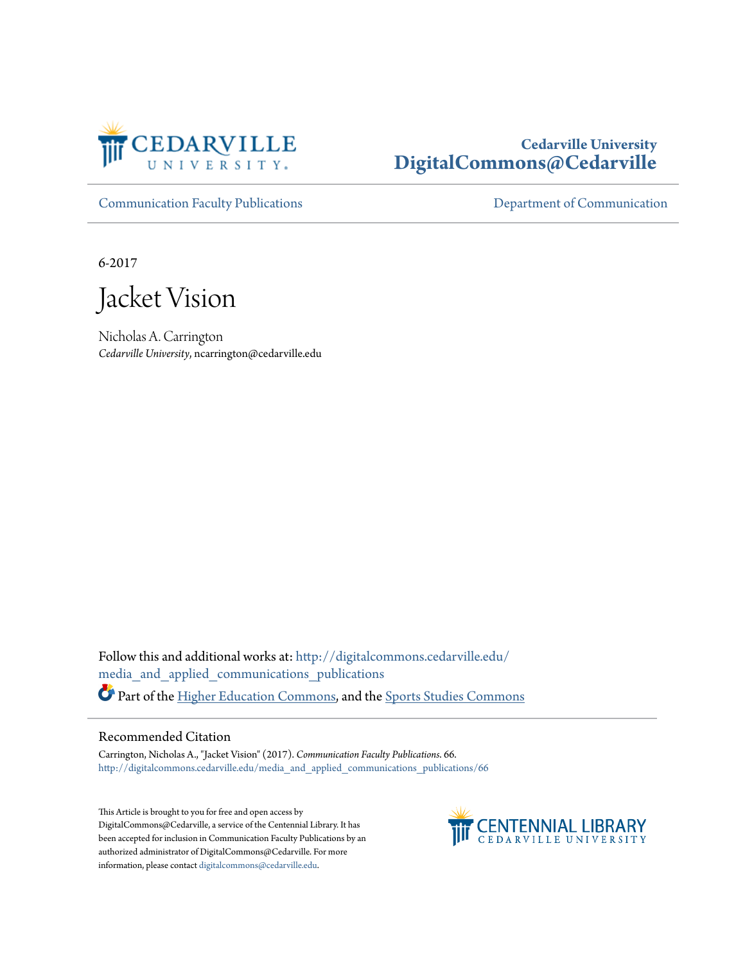

## **Cedarville University [DigitalCommons@Cedarville](http://digitalcommons.cedarville.edu?utm_source=digitalcommons.cedarville.edu%2Fmedia_and_applied_communications_publications%2F66&utm_medium=PDF&utm_campaign=PDFCoverPages)**

[Communication Faculty Publications](http://digitalcommons.cedarville.edu/media_and_applied_communications_publications?utm_source=digitalcommons.cedarville.edu%2Fmedia_and_applied_communications_publications%2F66&utm_medium=PDF&utm_campaign=PDFCoverPages) [Department of Communication](http://digitalcommons.cedarville.edu/media_and_applied_communications?utm_source=digitalcommons.cedarville.edu%2Fmedia_and_applied_communications_publications%2F66&utm_medium=PDF&utm_campaign=PDFCoverPages)

6-2017

Jacket Vision

Nicholas A. Carrington *Cedarville University*, ncarrington@cedarville.edu

Follow this and additional works at: [http://digitalcommons.cedarville.edu/](http://digitalcommons.cedarville.edu/media_and_applied_communications_publications?utm_source=digitalcommons.cedarville.edu%2Fmedia_and_applied_communications_publications%2F66&utm_medium=PDF&utm_campaign=PDFCoverPages) [media\\_and\\_applied\\_communications\\_publications](http://digitalcommons.cedarville.edu/media_and_applied_communications_publications?utm_source=digitalcommons.cedarville.edu%2Fmedia_and_applied_communications_publications%2F66&utm_medium=PDF&utm_campaign=PDFCoverPages) Part of the [Higher Education Commons](http://network.bepress.com/hgg/discipline/1245?utm_source=digitalcommons.cedarville.edu%2Fmedia_and_applied_communications_publications%2F66&utm_medium=PDF&utm_campaign=PDFCoverPages), and the [Sports Studies Commons](http://network.bepress.com/hgg/discipline/1198?utm_source=digitalcommons.cedarville.edu%2Fmedia_and_applied_communications_publications%2F66&utm_medium=PDF&utm_campaign=PDFCoverPages)

## Recommended Citation

Carrington, Nicholas A., "Jacket Vision" (2017). *Communication Faculty Publications*. 66. [http://digitalcommons.cedarville.edu/media\\_and\\_applied\\_communications\\_publications/66](http://digitalcommons.cedarville.edu/media_and_applied_communications_publications/66?utm_source=digitalcommons.cedarville.edu%2Fmedia_and_applied_communications_publications%2F66&utm_medium=PDF&utm_campaign=PDFCoverPages)

This Article is brought to you for free and open access by DigitalCommons@Cedarville, a service of the Centennial Library. It has been accepted for inclusion in Communication Faculty Publications by an authorized administrator of DigitalCommons@Cedarville. For more information, please contact [digitalcommons@cedarville.edu.](mailto:digitalcommons@cedarville.edu)

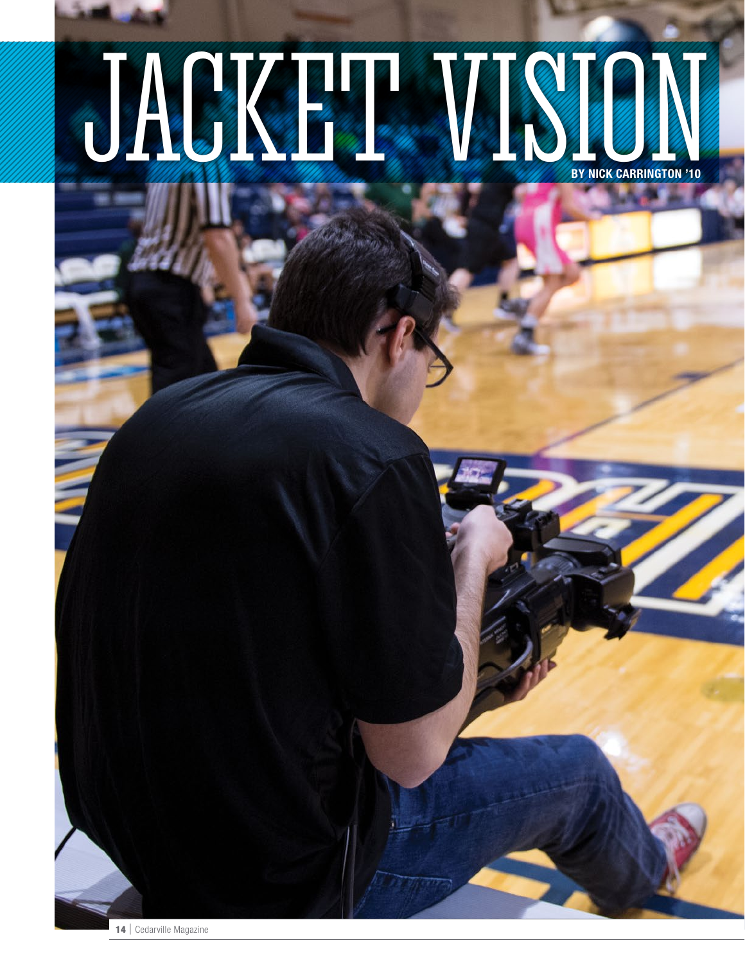## JACKET VAN BY NICK CARRINGTON '10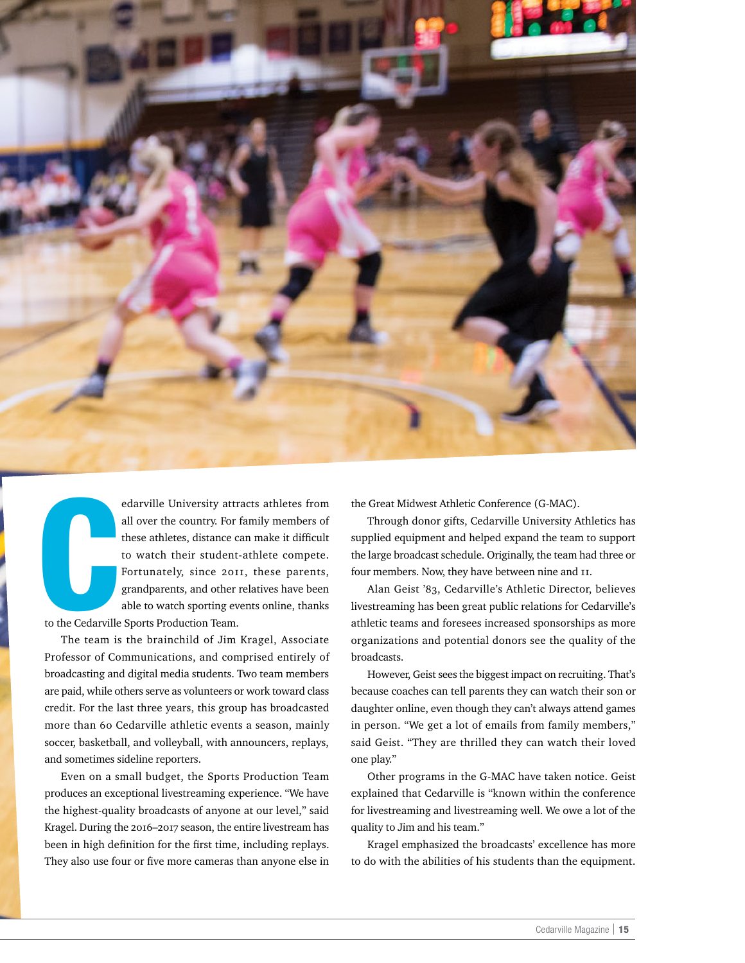

The Assessment edarville University attracts athletes from all over the country. For family members of these athletes, distance can make it difficult to watch their student-athlete compete. Fortunately, since 2011, these parents, grandparents, and other relatives have been able to watch sporting events online, thanks to the Cedarville Sports Production Team.

The team is the brainchild of Jim Kragel, Associate

Professor of Communications, and comprised entirely of broadcasting and digital media students. Two team members are paid, while others serve as volunteers or work toward class credit. For the last three years, this group has broadcasted more than 60 Cedarville athletic events a season, mainly soccer, basketball, and volleyball, with announcers, replays, and sometimes sideline reporters.

Even on a small budget, the Sports Production Team produces an exceptional livestreaming experience. "We have the highest-quality broadcasts of anyone at our level," said Kragel. During the 2016–2017 season, the entire livestream has been in high definition for the first time, including replays. They also use four or five more cameras than anyone else in the Great Midwest Athletic Conference (G-MAC).

Through donor gifts, Cedarville University Athletics has supplied equipment and helped expand the team to support the large broadcast schedule. Originally, the team had three or four members. Now, they have between nine and 11.

Alan Geist '83, Cedarville's Athletic Director, believes livestreaming has been great public relations for Cedarville's athletic teams and foresees increased sponsorships as more organizations and potential donors see the quality of the broadcasts.

However, Geist sees the biggest impact on recruiting. That's because coaches can tell parents they can watch their son or daughter online, even though they can't always attend games in person. "We get a lot of emails from family members," said Geist. "They are thrilled they can watch their loved one play."

Other programs in the G-MAC have taken notice. Geist explained that Cedarville is "known within the conference for livestreaming and livestreaming well. We owe a lot of the quality to Jim and his team."

Kragel emphasized the broadcasts' excellence has more to do with the abilities of his students than the equipment.